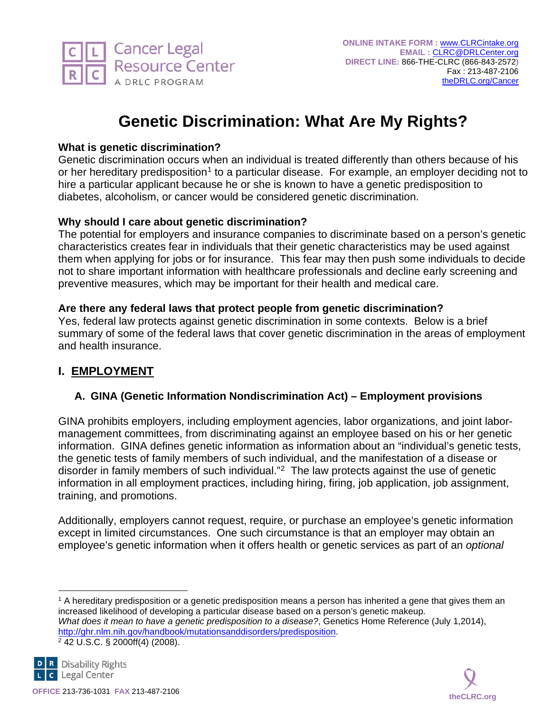

# **Genetic Discrimination: What Are My Rights?**

#### **What is genetic discrimination?**

Genetic discrimination occurs when an individual is treated differently than others because of his or her hereditary predisposition<sup>[1](#page-0-0)</sup> to a particular disease. For example, an employer deciding not to hire a particular applicant because he or she is known to have a genetic predisposition to diabetes, alcoholism, or cancer would be considered genetic discrimination.

#### **Why should I care about genetic discrimination?**

The potential for employers and insurance companies to discriminate based on a person's genetic characteristics creates fear in individuals that their genetic characteristics may be used against them when applying for jobs or for insurance. This fear may then push some individuals to decide not to share important information with healthcare professionals and decline early screening and preventive measures, which may be important for their health and medical care.

#### **Are there any federal laws that protect people from genetic discrimination?**

Yes, federal law protects against genetic discrimination in some contexts. Below is a brief summary of some of the federal laws that cover genetic discrimination in the areas of employment and health insurance.

## **I. EMPLOYMENT**

## **A. GINA (Genetic Information Nondiscrimination Act) – Employment provisions**

GINA prohibits employers, including employment agencies, labor organizations, and joint labormanagement committees, from discriminating against an employee based on his or her genetic information. GINA defines genetic information as information about an "individual's genetic tests, the genetic tests of family members of such individual, and the manifestation of a disease or disorder in family members of such individual."<sup>2</sup> The law protects against the use of genetic information in all employment practices, including hiring, firing, job application, job assignment, training, and promotions.

Additionally, employers cannot request, require, or purchase an employee's genetic information except in limited circumstances. One such circumstance is that an employer may obtain an employee's genetic information when it offers health or genetic services as part of an *optional*

<span id="page-0-1"></span><span id="page-0-0"></span><sup>&</sup>lt;sup>1</sup> A hereditary predisposition or a genetic predisposition means a person has inherited a gene that gives them an increased likelihood of developing a particular disease based on a person's genetic makeup. *What does it mean to have a genetic predisposition to a disease?*, Genetics Home Reference (July 1,2014), [http://ghr.nlm.nih.gov/handbook/mutationsanddisorders/predisposition.](http://ghr.nlm.nih.gov/handbook/mutationsanddisorders/predisposition) <sup>2</sup> 42 U.S.C. § 2000ff(4) (2008).



**theCLRC.org OFFIC[E](mailto:DRLC@drlcenter.org)** 213-736-1031 **FAX** 213-487-2106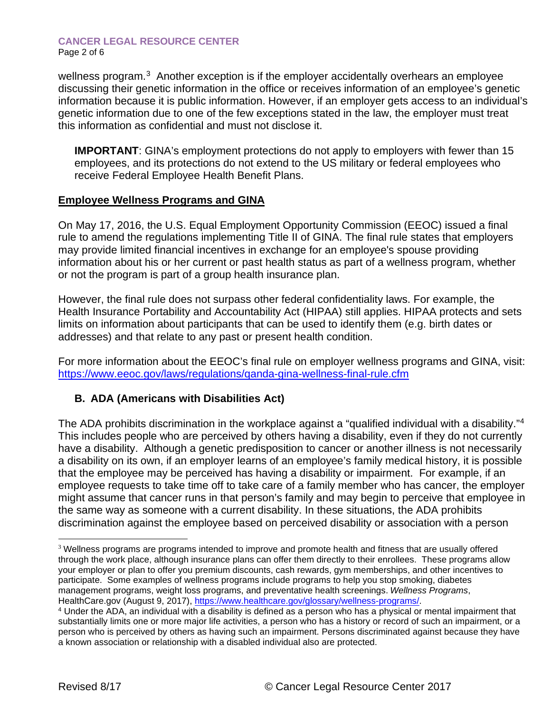#### **CANCER LEGAL RESOURCE CENTER** Page 2 of 6

wellness program.<sup>[3](#page-1-0)</sup> Another exception is if the employer accidentally overhears an employee discussing their genetic information in the office or receives information of an employee's genetic information because it is public information. However, if an employer gets access to an individual's genetic information due to one of the few exceptions stated in the law, the employer must treat this information as confidential and must not disclose it.

**IMPORTANT**: GINA's employment protections do not apply to employers with fewer than 15 employees, and its protections do not extend to the US military or federal employees who receive Federal Employee Health Benefit Plans.

#### **Employee Wellness Programs and GINA**

On May 17, 2016, the U.S. Equal Employment Opportunity Commission (EEOC) issued a final rule to amend the regulations implementing Title II of GINA. The final rule states that employers may provide limited financial incentives in exchange for an employee's spouse providing information about his or her current or past health status as part of a wellness program, whether or not the program is part of a group health insurance plan.

However, the final rule does not surpass other federal confidentiality laws. For example, the Health Insurance Portability and Accountability Act (HIPAA) still applies. HIPAA protects and sets limits on information about participants that can be used to identify them (e.g. birth dates or addresses) and that relate to any past or present health condition.

For more information about the EEOC's final rule on employer wellness programs and GINA, visit: <https://www.eeoc.gov/laws/regulations/qanda-gina-wellness-final-rule.cfm>

## **B. ADA (Americans with Disabilities Act)**

The ADA prohibits discrimination in the workplace against a "qualified individual with a disability."<sup>[4](#page-1-1)</sup> This includes people who are perceived by others having a disability, even if they do not currently have a disability. Although a genetic predisposition to cancer or another illness is not necessarily a disability on its own, if an employer learns of an employee's family medical history, it is possible that the employee may be perceived has having a disability or impairment. For example, if an employee requests to take time off to take care of a family member who has cancer, the employer might assume that cancer runs in that person's family and may begin to perceive that employee in the same way as someone with a current disability. In these situations, the ADA prohibits discrimination against the employee based on perceived disability or association with a person

<span id="page-1-0"></span><sup>&</sup>lt;sup>3</sup> Wellness programs are programs intended to improve and promote health and fitness that are usually offered through the work place, although insurance plans can offer them directly to their enrollees. These programs allow your employer or plan to offer you premium discounts, cash rewards, gym memberships, and other incentives to participate. Some examples of wellness programs include programs to help you stop smoking, diabetes management programs, weight loss programs, and preventative health screenings. *Wellness Programs*, HealthCare.gov (August 9, 2017), [https://www.healthcare.gov/glossary/wellness-programs/.](https://www.healthcare.gov/glossary/wellness-programs/)

<span id="page-1-1"></span><sup>4</sup> Under the ADA, an individual with a disability is defined as a person who has a physical or mental impairment that substantially limits one or more major life activities, a person who has a history or record of such an impairment, or a person who is perceived by others as having such an impairment. Persons discriminated against because they have a known association or relationship with a disabled individual also are protected.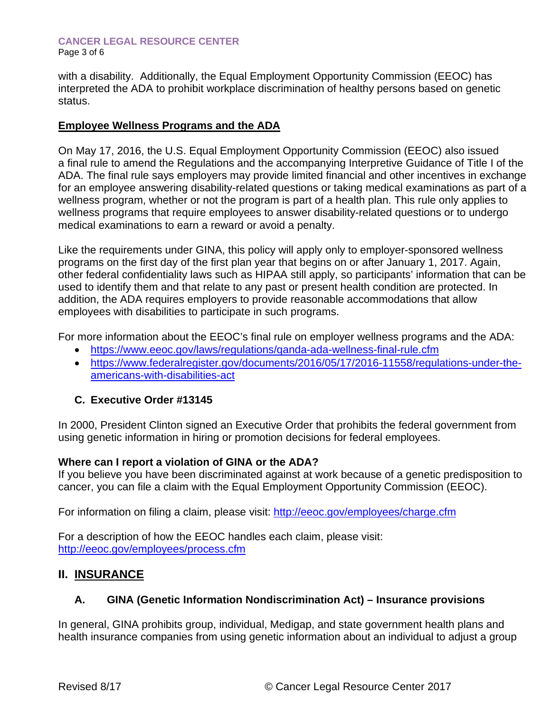#### **CANCER LEGAL RESOURCE CENTER** Page 3 of 6

with a disability. Additionally, the Equal Employment Opportunity Commission (EEOC) has interpreted the ADA to prohibit workplace discrimination of healthy persons based on genetic status.

#### **Employee Wellness Programs and the ADA**

On May 17, 2016, the U.S. Equal Employment Opportunity Commission (EEOC) also issued a final rule to amend the Regulations and the accompanying Interpretive Guidance of Title I of the ADA. The final rule says employers may provide limited financial and other incentives in exchange for an employee answering disability-related questions or taking medical examinations as part of a wellness program, whether or not the program is part of a health plan. This rule only applies to wellness programs that require employees to answer disability-related questions or to undergo medical examinations to earn a reward or avoid a penalty.

Like the requirements under GINA, this policy will apply only to employer-sponsored wellness programs on the first day of the first plan year that begins on or after January 1, 2017. Again, other federal confidentiality laws such as HIPAA still apply, so participants' information that can be used to identify them and that relate to any past or present health condition are protected. In addition, the ADA requires employers to provide reasonable accommodations that allow employees with disabilities to participate in such programs.

For more information about the EEOC's final rule on employer wellness programs and the ADA:

- <https://www.eeoc.gov/laws/regulations/qanda-ada-wellness-final-rule.cfm>
- [https://www.federalregister.gov/documents/2016/05/17/2016-11558/regulations-under-the](https://www.federalregister.gov/documents/2016/05/17/2016-11558/regulations-under-the-americans-with-disabilities-act)[americans-with-disabilities-act](https://www.federalregister.gov/documents/2016/05/17/2016-11558/regulations-under-the-americans-with-disabilities-act)

## **C. Executive Order #13145**

In 2000, President Clinton signed an Executive Order that prohibits the federal government from using genetic information in hiring or promotion decisions for federal employees.

#### **Where can I report a violation of GINA or the ADA?**

If you believe you have been discriminated against at work because of a genetic predisposition to cancer, you can file a claim with the Equal Employment Opportunity Commission (EEOC).

For information on filing a claim, please visit:<http://eeoc.gov/employees/charge.cfm>

For a description of how the EEOC handles each claim, please visit: <http://eeoc.gov/employees/process.cfm>

## **II. INSURANCE**

## **A. GINA (Genetic Information Nondiscrimination Act) – Insurance provisions**

In general, GINA prohibits group, individual, Medigap, and state government health plans and health insurance companies from using genetic information about an individual to adjust a group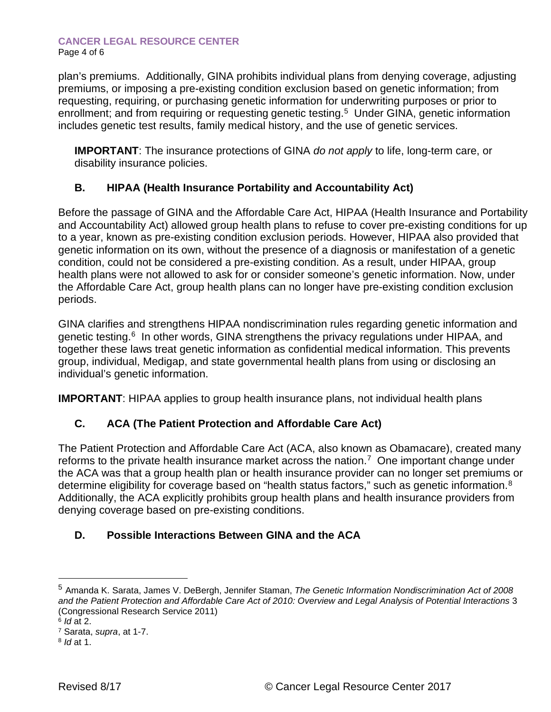#### **CANCER LEGAL RESOURCE CENTER** Page 4 of 6

plan's premiums. Additionally, GINA prohibits individual plans from denying coverage, adjusting premiums, or imposing a pre-existing condition exclusion based on genetic information; from requesting, requiring, or purchasing genetic information for underwriting purposes or prior to enrollment; and from requiring or requesting genetic testing.<sup>[5](#page-3-0)</sup> Under GINA, genetic information includes genetic test results, family medical history, and the use of genetic services.

**IMPORTANT**: The insurance protections of GINA *do not apply* to life, long-term care, or disability insurance policies.

## **B. HIPAA (Health Insurance Portability and Accountability Act)**

Before the passage of GINA and the Affordable Care Act, HIPAA (Health Insurance and Portability and Accountability Act) allowed group health plans to refuse to cover pre-existing conditions for up to a year, known as pre-existing condition exclusion periods. However, HIPAA also provided that genetic information on its own, without the presence of a diagnosis or manifestation of a genetic condition, could not be considered a pre-existing condition. As a result, under HIPAA, group health plans were not allowed to ask for or consider someone's genetic information. Now, under the Affordable Care Act, group health plans can no longer have pre-existing condition exclusion periods.

GINA clarifies and strengthens HIPAA nondiscrimination rules regarding genetic information and genetic testing.<sup>6</sup> In other words, GINA strengthens the privacy regulations under HIPAA, and together these laws treat genetic information as confidential medical information. This prevents group, individual, Medigap, and state governmental health plans from using or disclosing an individual's genetic information.

**IMPORTANT:** HIPAA applies to group health insurance plans, not individual health plans

## **C. ACA (The Patient Protection and Affordable Care Act)**

The Patient Protection and Affordable Care Act (ACA, also known as Obamacare), created many reforms to the private health insurance market across the nation.<sup>7</sup> One important change under the ACA was that a group health plan or health insurance provider can no longer set premiums or determine eligibility for coverage based on "health status factors," such as genetic information.<sup>[8](#page-3-3)</sup> Additionally, the ACA explicitly prohibits group health plans and health insurance providers from denying coverage based on pre-existing conditions.

## **D. Possible Interactions Between GINA and the ACA**

<span id="page-3-0"></span><sup>5</sup> Amanda K. Sarata, James V. DeBergh, Jennifer Staman, *The Genetic Information Nondiscrimination Act of 2008 and the Patient Protection and Affordable Care Act of 2010: Overview and Legal Analysis of Potential Interactions* 3 (Congressional Research Service 2011)

<span id="page-3-1"></span><sup>6</sup> *Id* at 2.

<span id="page-3-2"></span><sup>7</sup> Sarata, *supra*, at 1-7.

<span id="page-3-3"></span><sup>8</sup> *Id* at 1.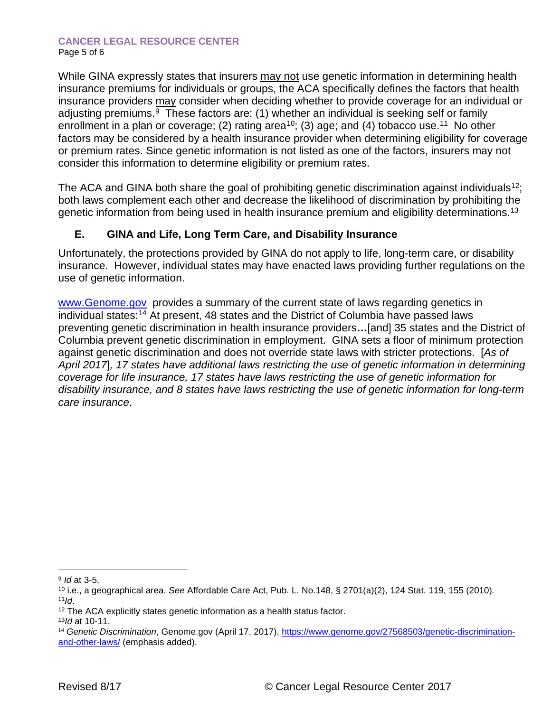#### **CANCER LEGAL RESOURCE CENTER** Page 5 of 6

While GINA expressly states that insurers may not use genetic information in determining health insurance premiums for individuals or groups, the ACA specifically defines the factors that health insurance providers may consider when deciding whether to provide coverage for an individual or adjusting premiums. $9$  These factors are: (1) whether an individual is seeking self or family enrollment in a plan or coverage; (2) rating area<sup>10</sup>; (3) age; and (4) tobacco use.<sup>11</sup> No other factors may be considered by a health insurance provider when determining eligibility for coverage or premium rates. Since genetic information is not listed as one of the factors, insurers may not consider this information to determine eligibility or premium rates.

The ACA and GINA both share the goal of prohibiting genetic discrimination against individuals<sup>[12](#page-4-3)</sup>; both laws complement each other and decrease the likelihood of discrimination by prohibiting the genetic information from being used in health insurance premium and eligibility determinations.<sup>13</sup>

## **E. GINA and Life, Long Term Care, and Disability Insurance**

Unfortunately, the protections provided by GINA do not apply to life, long-term care, or disability insurance. However, individual states may have enacted laws providing further regulations on the use of genetic information.

[www.Genome.gov](http://www.genome.gov/) provides a summary of the current state of laws regarding genetics in individual states:<sup>[14](#page-4-5)</sup> At present, 48 states and the District of Columbia have passed laws preventing genetic discrimination in health insurance providers**…**[and] 35 states and the District of Columbia prevent genetic discrimination in employment. GINA sets a floor of minimum protection against genetic discrimination and does not override state laws with stricter protections.[*As of April 2017*]*, 17 states have additional laws restricting the use of genetic information in determining coverage for life insurance, 17 states have laws restricting the use of genetic information for disability insurance, and 8 states have laws restricting the use of genetic information for long-term care insurance*.

<span id="page-4-0"></span><sup>9</sup> *Id* at 3-5.

<span id="page-4-2"></span><span id="page-4-1"></span><sup>10</sup> i.e., a geographical area. *See* Affordable Care Act, Pub. L. No.148, § 2701(a)(2), 124 Stat. 119, 155 (2010)*.* <sup>11</sup>*Id*.

<span id="page-4-3"></span><sup>&</sup>lt;sup>12</sup> The ACA explicitly states genetic information as a health status factor.

<sup>13</sup>*Id* at 10-11.

<span id="page-4-5"></span><span id="page-4-4"></span><sup>14</sup> *Genetic Discrimination*, Genome.gov (April 17, 2017), https://www.genome.gov/27568503/genetic-discriminationand-other-laws/ (emphasis added).